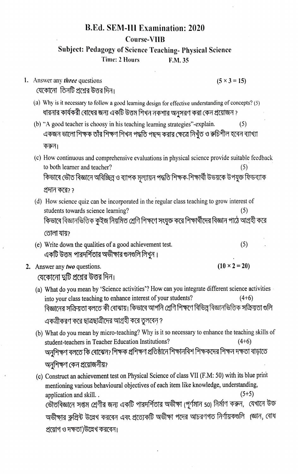## B.Ed. SEM-III Examination: 2020 Course-VIIB

## Subject: Pedagogy of Science Teaehing- Physical Science Time: 2 Hours F.M. 35

1. Answer any *three* questions (5 × 3 = 15)<br>যেকোনো তিনটি প্রশ্নের উত্তর দিন।

- (a) Why is it necessary to follow a good learning design for effective understanding of concepts? (5) ধারনার কার্যকরী বোধের জন্য একটি উত্তম শিখন নকশার অনুসরণ করা কেন প্রয়োজন ?
- (b) "A good teacher is ehoosy in his teaching learning strategies"-explain. (5) একজন ভালো শিক্ষক তাঁর শিক্ষণ শিখন পদ্ধতি পছন্দ করার ক্ষেত্রে নিখঁত ও রুচিশীল হবেন ব্যাখ্যা করুন।
- (c) How continuous and comprehensive evaluations in physical seience provide suitable feedback to both learner and teacher?<br>কিভাবে ভৌত বিজ্ঞানে অবিচ্ছিন্ন ও ব্যাপক মূল্যায়ন পদ্ধতি শিক্ষক-শিক্ষাৰ্থী উভয়কে উপযুক্ত ফিডব্যাক প্রদান করে? ?
- (d) How secience quiz can be incorporated in the regular class teaching to grow interest of students towards science learning?<br>কিভাবে বিজ্ঞানভিত্তিক কুইজ নিয়মিত শ্রেণি শিক্ষণে সংযুক্ত করে শিক্ষার্থীদের বিজ্ঞান পাঠে আগ্রহী করে তোলা যায়?
- (e) Write down the qualities of a good achievement test. (5) একটি উত্তম পারদর্শিতার অভীক্ষার গুনগুলি লিখুন ।
- 2. Answer any two questions. (10  $\times$  2 = 20)

যেকোনো দ্বটি প্রশ্নের উত্তর দিন।

- (a) What do you mean by 'Science activities'? How can you integrate different science activities into your class teaching to enhance interest of your students? বিজ্ঞানের সক্রিয়তা বলতে কী বোঝায়। কিভাবে আপনি শ্রেণি শিক্ষণে বিভিন্ন বিজ্ঞানভিত্তিক সক্রিয়তা গুলি একত্রীকরণ করে ছাত্রছাত্রীদের আগ্রহী করে তুলবেন ?
- (b) What do you mean by micro-teaching? Why is it so necessary to enhance the teaching skills of student-teachers in Teacher Education Institutions?<br>অনুশিক্ষণ বলতে কি বোঝেন? শিক্ষক প্ৰশিক্ষণ প্ৰতিষ্ঠানে শিক্ষানবিশ শিক্ষকদের শিক্ষন দক্ষতা বাড়াতে অনুশিক্ষণ কেন প্রয়োজনীয়?
- (c) Construct an achievement test on Physical Science of class VII (F.M: 50) with its blue print mentioning various behavioural objectives of each item like knowledge, understanding application and skill..  $(5+5)$ ভৌতবিজ্ঞানে সপ্তম শ্রেণীর জন্য একটি পারদর্শিতার অভীক্ষা (পূর্ণমান 50) নির্মাণ করুন, যেখানে উক্ত অভীক্ষার ব্লুপ্রিন্ট উল্লেখ করবেন এবং প্রত্যেকটি অভীক্ষা পদের আচরণগত নির্ণায়কগুলি ।জ্ঞান, বোধ প্রয়োগ ও দক্ষতা)উল্লেখ করবেন।